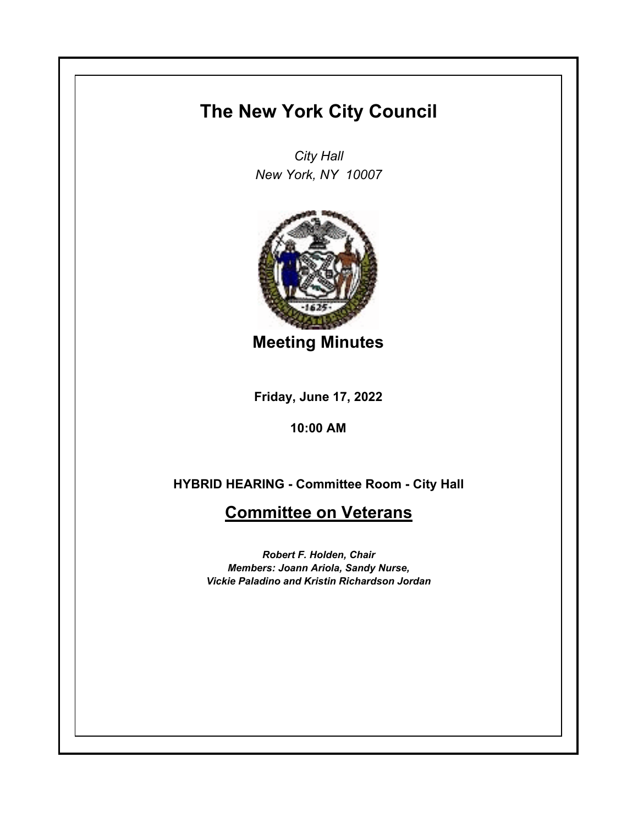## **The New York City Council**

*City Hall New York, NY 10007*



**Meeting Minutes**

**Friday, June 17, 2022**

**10:00 AM**

**HYBRID HEARING - Committee Room - City Hall**

## **Committee on Veterans**

*Robert F. Holden, Chair Members: Joann Ariola, Sandy Nurse, Vickie Paladino and Kristin Richardson Jordan*